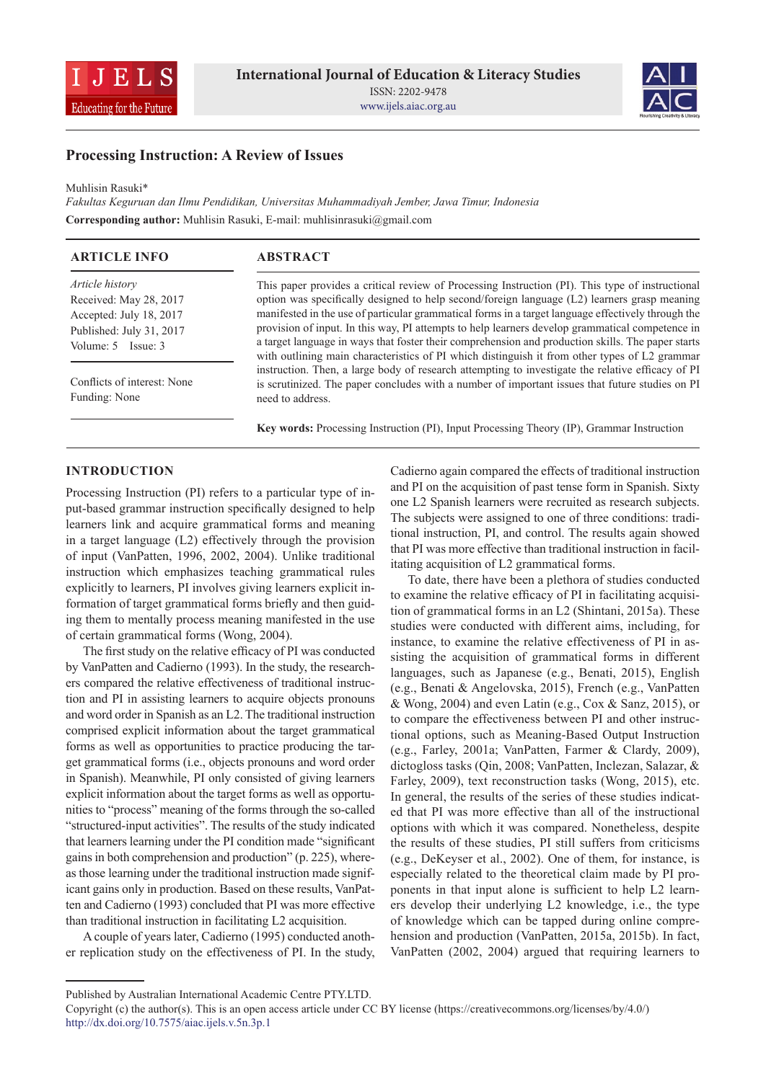



# **Processing Instruction: A Review of Issues**

Muhlisin Rasuki\*

*Fakultas Keguruan dan Ilmu Pendidikan, Universitas Muhammadiyah Jember, Jawa Timur, Indonesia* **Corresponding author:** Muhlisin Rasuki, E-mail: muhlisinrasuki@gmail.com

| <b>ARTICLE INFO</b>         | <b>ABSTRACT</b>                                                                                    |
|-----------------------------|----------------------------------------------------------------------------------------------------|
| Article history             | This paper provides a critical review of Processing Instruction (PI). This type of instructional   |
| Received: May 28, 2017      | option was specifically designed to help second/foreign language (L2) learners grasp meaning       |
| Accepted: July 18, 2017     | manifested in the use of particular grammatical forms in a target language effectively through the |
| Published: July 31, 2017    | provision of input. In this way, PI attempts to help learners develop grammatical competence in    |
| Volume: 5 Issue: 3          | a target language in ways that foster their comprehension and production skills. The paper starts  |
|                             | with outlining main characteristics of PI which distinguish it from other types of L2 grammar      |
|                             | instruction. Then, a large body of research attempting to investigate the relative efficacy of PI  |
| Conflicts of interest: None | is scrutinized. The paper concludes with a number of important issues that future studies on PI    |
| Funding: None               | need to address.                                                                                   |

**Key words:** Processing Instruction (PI), Input Processing Theory (IP), Grammar Instruction

### **INTRODUCTION**

Processing Instruction (PI) refers to a particular type of input-based grammar instruction specifically designed to help learners link and acquire grammatical forms and meaning in a target language (L2) effectively through the provision of input (VanPatten, 1996, 2002, 2004). Unlike traditional instruction which emphasizes teaching grammatical rules explicitly to learners, PI involves giving learners explicit information of target grammatical forms briefly and then guiding them to mentally process meaning manifested in the use of certain grammatical forms (Wong, 2004).

The first study on the relative efficacy of PI was conducted by VanPatten and Cadierno (1993). In the study, the researchers compared the relative effectiveness of traditional instruction and PI in assisting learners to acquire objects pronouns and word order in Spanish as an L2. The traditional instruction comprised explicit information about the target grammatical forms as well as opportunities to practice producing the target grammatical forms (i.e., objects pronouns and word order in Spanish). Meanwhile, PI only consisted of giving learners explicit information about the target forms as well as opportunities to "process" meaning of the forms through the so-called "structured-input activities". The results of the study indicated that learners learning under the PI condition made "significant gains in both comprehension and production" (p. 225), whereas those learning under the traditional instruction made significant gains only in production. Based on these results, VanPatten and Cadierno (1993) concluded that PI was more effective than traditional instruction in facilitating L2 acquisition.

A couple of years later, Cadierno (1995) conducted another replication study on the effectiveness of PI. In the study, Cadierno again compared the effects of traditional instruction and PI on the acquisition of past tense form in Spanish. Sixty one L2 Spanish learners were recruited as research subjects. The subjects were assigned to one of three conditions: traditional instruction, PI, and control. The results again showed that PI was more effective than traditional instruction in facilitating acquisition of L2 grammatical forms.

To date, there have been a plethora of studies conducted to examine the relative efficacy of PI in facilitating acquisition of grammatical forms in an L2 (Shintani, 2015a). These studies were conducted with different aims, including, for instance, to examine the relative effectiveness of PI in assisting the acquisition of grammatical forms in different languages, such as Japanese (e.g., Benati, 2015), English (e.g., Benati & Angelovska, 2015), French (e.g., VanPatten & Wong, 2004) and even Latin (e.g., Cox & Sanz, 2015), or to compare the effectiveness between PI and other instructional options, such as Meaning-Based Output Instruction (e.g., Farley, 2001a; VanPatten, Farmer & Clardy, 2009), dictogloss tasks (Qin, 2008; VanPatten, Inclezan, Salazar, & Farley, 2009), text reconstruction tasks (Wong, 2015), etc. In general, the results of the series of these studies indicated that PI was more effective than all of the instructional options with which it was compared. Nonetheless, despite the results of these studies, PI still suffers from criticisms (e.g., DeKeyser et al., 2002). One of them, for instance, is especially related to the theoretical claim made by PI proponents in that input alone is sufficient to help L2 learners develop their underlying L2 knowledge, i.e., the type of knowledge which can be tapped during online comprehension and production (VanPatten, 2015a, 2015b). In fact, VanPatten (2002, 2004) argued that requiring learners to

Published by Australian International Academic Centre PTY.LTD.

Copyright (c) the author(s). This is an open access article under CC BY license (https://creativecommons.org/licenses/by/4.0/) http://dx.doi.org/10.7575/aiac.ijels.v.5n.3p.1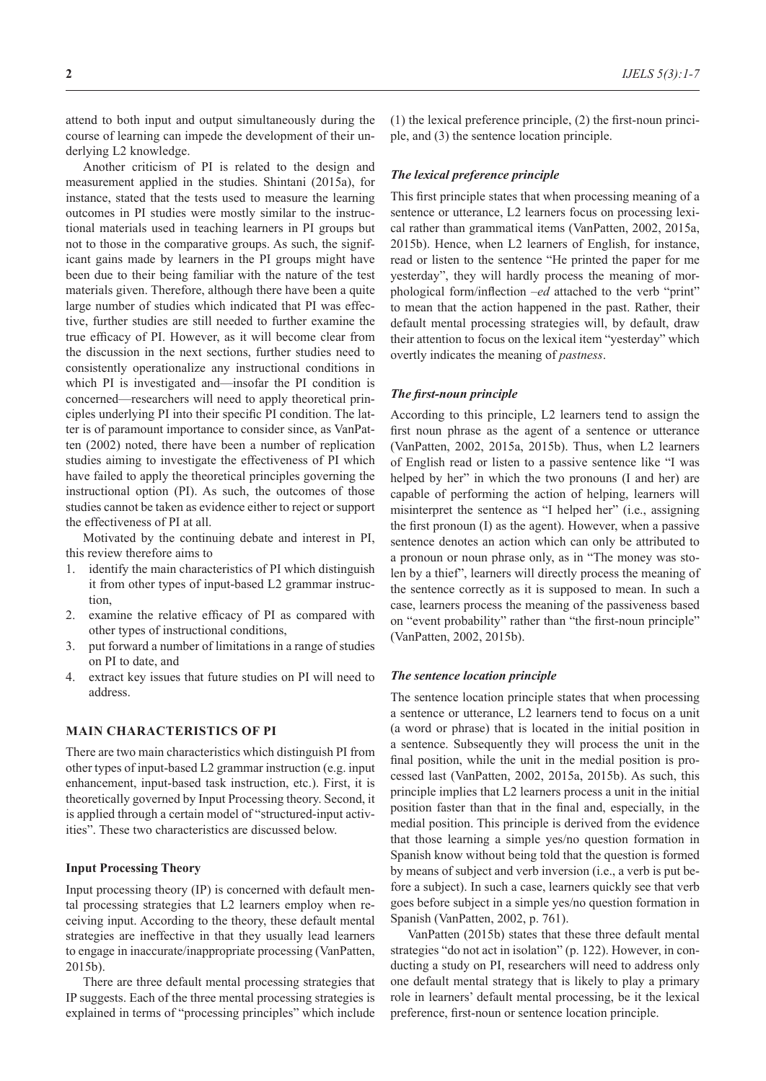attend to both input and output simultaneously during the course of learning can impede the development of their underlying L2 knowledge.

Another criticism of PI is related to the design and measurement applied in the studies. Shintani (2015a), for instance, stated that the tests used to measure the learning outcomes in PI studies were mostly similar to the instructional materials used in teaching learners in PI groups but not to those in the comparative groups. As such, the significant gains made by learners in the PI groups might have been due to their being familiar with the nature of the test materials given. Therefore, although there have been a quite large number of studies which indicated that PI was effective, further studies are still needed to further examine the true efficacy of PI. However, as it will become clear from the discussion in the next sections, further studies need to consistently operationalize any instructional conditions in which PI is investigated and—insofar the PI condition is concerned—researchers will need to apply theoretical principles underlying PI into their specific PI condition. The latter is of paramount importance to consider since, as VanPatten (2002) noted, there have been a number of replication studies aiming to investigate the effectiveness of PI which have failed to apply the theoretical principles governing the instructional option (PI). As such, the outcomes of those studies cannot be taken as evidence either to reject or support the effectiveness of PI at all.

Motivated by the continuing debate and interest in PI, this review therefore aims to

- 1. identify the main characteristics of PI which distinguish it from other types of input-based L2 grammar instruction,
- 2. examine the relative efficacy of PI as compared with other types of instructional conditions,
- 3. put forward a number of limitations in a range of studies on PI to date, and
- 4. extract key issues that future studies on PI will need to address.

### **MAIN CHARACTERISTICS OF PI**

There are two main characteristics which distinguish PI from other types of input-based L2 grammar instruction (e.g. input enhancement, input-based task instruction, etc.). First, it is theoretically governed by Input Processing theory. Second, it is applied through a certain model of "structured-input activities". These two characteristics are discussed below.

### **Input Processing Theory**

Input processing theory (IP) is concerned with default mental processing strategies that L2 learners employ when receiving input. According to the theory, these default mental strategies are ineffective in that they usually lead learners to engage in inaccurate/inappropriate processing (VanPatten, 2015b).

There are three default mental processing strategies that IP suggests. Each of the three mental processing strategies is explained in terms of "processing principles" which include (1) the lexical preference principle, (2) the first-noun principle, and (3) the sentence location principle.

#### *The lexical preference principle*

This first principle states that when processing meaning of a sentence or utterance, L2 learners focus on processing lexical rather than grammatical items (VanPatten, 2002, 2015a, 2015b). Hence, when L2 learners of English, for instance, read or listen to the sentence "He printed the paper for me yesterday", they will hardly process the meaning of morphological form/inflection *–ed* attached to the verb "print" to mean that the action happened in the past. Rather, their default mental processing strategies will, by default, draw their attention to focus on the lexical item "yesterday" which overtly indicates the meaning of *pastness*.

### *The first-noun principle*

According to this principle, L2 learners tend to assign the first noun phrase as the agent of a sentence or utterance (VanPatten, 2002, 2015a, 2015b). Thus, when L2 learners of English read or listen to a passive sentence like "I was helped by her" in which the two pronouns (I and her) are capable of performing the action of helping, learners will misinterpret the sentence as "I helped her" (i.e., assigning the first pronoun (I) as the agent). However, when a passive sentence denotes an action which can only be attributed to a pronoun or noun phrase only, as in "The money was stolen by a thief", learners will directly process the meaning of the sentence correctly as it is supposed to mean. In such a case, learners process the meaning of the passiveness based on "event probability" rather than "the first-noun principle" (VanPatten, 2002, 2015b).

#### *The sentence location principle*

The sentence location principle states that when processing a sentence or utterance, L2 learners tend to focus on a unit (a word or phrase) that is located in the initial position in a sentence. Subsequently they will process the unit in the final position, while the unit in the medial position is processed last (VanPatten, 2002, 2015a, 2015b). As such, this principle implies that L2 learners process a unit in the initial position faster than that in the final and, especially, in the medial position. This principle is derived from the evidence that those learning a simple yes/no question formation in Spanish know without being told that the question is formed by means of subject and verb inversion (i.e., a verb is put before a subject). In such a case, learners quickly see that verb goes before subject in a simple yes/no question formation in Spanish (VanPatten, 2002, p. 761).

VanPatten (2015b) states that these three default mental strategies "do not act in isolation" (p. 122). However, in conducting a study on PI, researchers will need to address only one default mental strategy that is likely to play a primary role in learners' default mental processing, be it the lexical preference, first-noun or sentence location principle.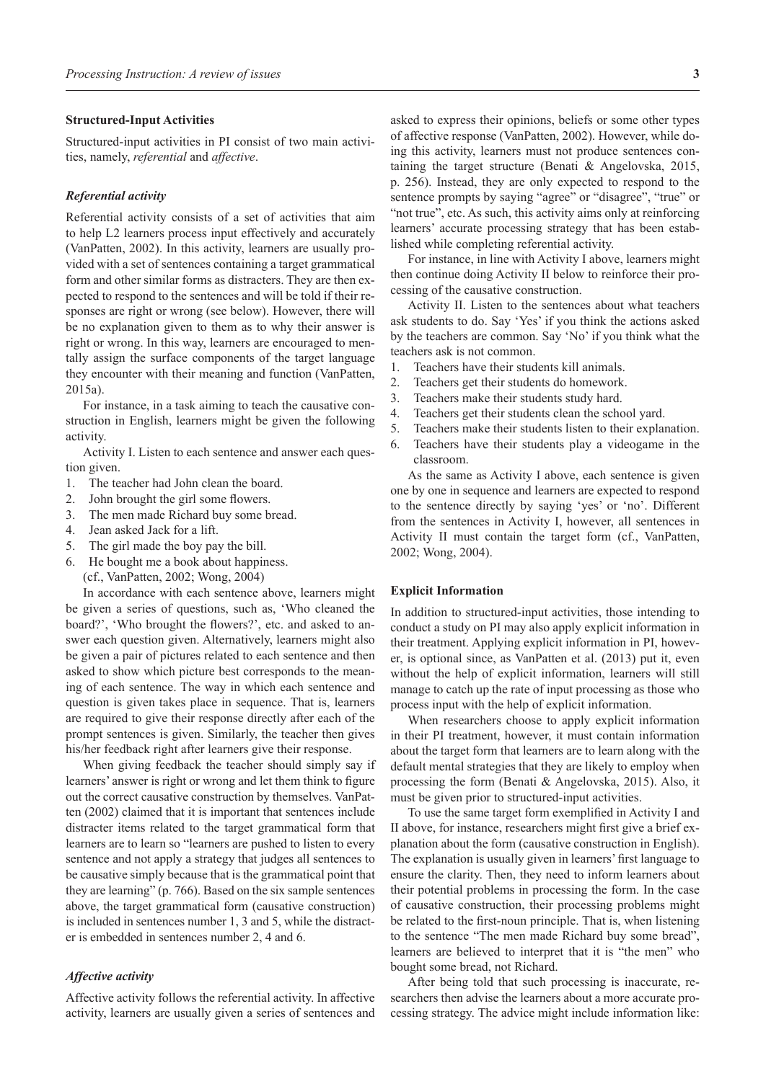#### **Structured-Input Activities**

Structured-input activities in PI consist of two main activities, namely, *referential* and *affective*.

#### *Referential activity*

Referential activity consists of a set of activities that aim to help L2 learners process input effectively and accurately (VanPatten, 2002). In this activity, learners are usually provided with a set of sentences containing a target grammatical form and other similar forms as distracters. They are then expected to respond to the sentences and will be told if their responses are right or wrong (see below). However, there will be no explanation given to them as to why their answer is right or wrong. In this way, learners are encouraged to mentally assign the surface components of the target language they encounter with their meaning and function (VanPatten, 2015a).

For instance, in a task aiming to teach the causative construction in English, learners might be given the following activity.

Activity I. Listen to each sentence and answer each question given.

- 1. The teacher had John clean the board.
- 2. John brought the girl some flowers.
- 3. The men made Richard buy some bread.
- 4. Jean asked Jack for a lift.
- 5. The girl made the boy pay the bill.
- 6. He bought me a book about happiness. (cf., VanPatten, 2002; Wong, 2004)

In accordance with each sentence above, learners might be given a series of questions, such as, 'Who cleaned the board?', 'Who brought the flowers?', etc. and asked to answer each question given. Alternatively, learners might also be given a pair of pictures related to each sentence and then asked to show which picture best corresponds to the meaning of each sentence. The way in which each sentence and question is given takes place in sequence. That is, learners are required to give their response directly after each of the prompt sentences is given. Similarly, the teacher then gives his/her feedback right after learners give their response.

When giving feedback the teacher should simply say if learners' answer is right or wrong and let them think to figure out the correct causative construction by themselves. VanPatten (2002) claimed that it is important that sentences include distracter items related to the target grammatical form that learners are to learn so "learners are pushed to listen to every sentence and not apply a strategy that judges all sentences to be causative simply because that is the grammatical point that they are learning" (p. 766). Based on the six sample sentences above, the target grammatical form (causative construction) is included in sentences number 1, 3 and 5, while the distracter is embedded in sentences number 2, 4 and 6.

### *Affective activity*

Affective activity follows the referential activity. In affective activity, learners are usually given a series of sentences and asked to express their opinions, beliefs or some other types of affective response (VanPatten, 2002). However, while doing this activity, learners must not produce sentences containing the target structure (Benati & Angelovska, 2015, p. 256). Instead, they are only expected to respond to the sentence prompts by saying "agree" or "disagree", "true" or "not true", etc. As such, this activity aims only at reinforcing learners' accurate processing strategy that has been established while completing referential activity.

For instance, in line with Activity I above, learners might then continue doing Activity II below to reinforce their processing of the causative construction.

Activity II. Listen to the sentences about what teachers ask students to do. Say 'Yes' if you think the actions asked by the teachers are common. Say 'No' if you think what the teachers ask is not common.

- 1. Teachers have their students kill animals.
- 2. Teachers get their students do homework.
- 3. Teachers make their students study hard.
- 4. Teachers get their students clean the school yard.
- 5. Teachers make their students listen to their explanation.
- 6. Teachers have their students play a videogame in the classroom.

As the same as Activity I above, each sentence is given one by one in sequence and learners are expected to respond to the sentence directly by saying 'yes' or 'no'. Different from the sentences in Activity I, however, all sentences in Activity II must contain the target form (cf., VanPatten, 2002; Wong, 2004).

### **Explicit Information**

In addition to structured-input activities, those intending to conduct a study on PI may also apply explicit information in their treatment. Applying explicit information in PI, however, is optional since, as VanPatten et al. (2013) put it, even without the help of explicit information, learners will still manage to catch up the rate of input processing as those who process input with the help of explicit information.

When researchers choose to apply explicit information in their PI treatment, however, it must contain information about the target form that learners are to learn along with the default mental strategies that they are likely to employ when processing the form (Benati & Angelovska, 2015). Also, it must be given prior to structured-input activities.

To use the same target form exemplified in Activity I and II above, for instance, researchers might first give a brief explanation about the form (causative construction in English). The explanation is usually given in learners' first language to ensure the clarity. Then, they need to inform learners about their potential problems in processing the form. In the case of causative construction, their processing problems might be related to the first-noun principle. That is, when listening to the sentence "The men made Richard buy some bread", learners are believed to interpret that it is "the men" who bought some bread, not Richard.

After being told that such processing is inaccurate, researchers then advise the learners about a more accurate processing strategy. The advice might include information like: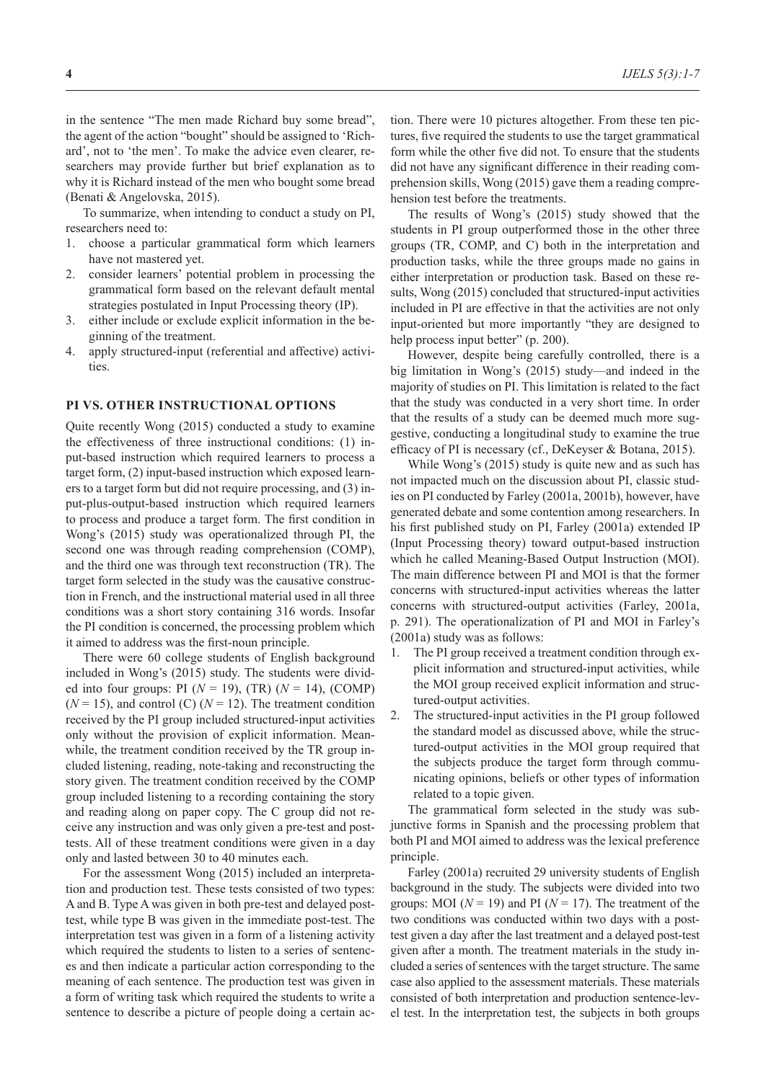in the sentence "The men made Richard buy some bread", the agent of the action "bought" should be assigned to 'Richard', not to 'the men'. To make the advice even clearer, researchers may provide further but brief explanation as to why it is Richard instead of the men who bought some bread (Benati & Angelovska, 2015).

To summarize, when intending to conduct a study on PI, researchers need to:

- 1. choose a particular grammatical form which learners have not mastered yet.
- 2. consider learners' potential problem in processing the grammatical form based on the relevant default mental strategies postulated in Input Processing theory (IP).
- 3. either include or exclude explicit information in the beginning of the treatment.
- 4. apply structured-input (referential and affective) activities.

### **PI VS. OTHER INSTRUCTIONAL OPTIONS**

Quite recently Wong (2015) conducted a study to examine the effectiveness of three instructional conditions: (1) input-based instruction which required learners to process a target form, (2) input-based instruction which exposed learners to a target form but did not require processing, and (3) input-plus-output-based instruction which required learners to process and produce a target form. The first condition in Wong's (2015) study was operationalized through PI, the second one was through reading comprehension (COMP), and the third one was through text reconstruction (TR). The target form selected in the study was the causative construction in French, and the instructional material used in all three conditions was a short story containing 316 words. Insofar the PI condition is concerned, the processing problem which it aimed to address was the first-noun principle.

There were 60 college students of English background included in Wong's (2015) study. The students were divided into four groups: PI (*N* = 19), (TR) (*N* = 14), (COMP)  $(N = 15)$ , and control (C)  $(N = 12)$ . The treatment condition received by the PI group included structured-input activities only without the provision of explicit information. Meanwhile, the treatment condition received by the TR group included listening, reading, note-taking and reconstructing the story given. The treatment condition received by the COMP group included listening to a recording containing the story and reading along on paper copy. The C group did not receive any instruction and was only given a pre-test and posttests. All of these treatment conditions were given in a day only and lasted between 30 to 40 minutes each.

For the assessment Wong (2015) included an interpretation and production test. These tests consisted of two types: A and B. Type A was given in both pre-test and delayed posttest, while type B was given in the immediate post-test. The interpretation test was given in a form of a listening activity which required the students to listen to a series of sentences and then indicate a particular action corresponding to the meaning of each sentence. The production test was given in a form of writing task which required the students to write a sentence to describe a picture of people doing a certain action. There were 10 pictures altogether. From these ten pictures, five required the students to use the target grammatical form while the other five did not. To ensure that the students did not have any significant difference in their reading comprehension skills, Wong (2015) gave them a reading comprehension test before the treatments.

The results of Wong's (2015) study showed that the students in PI group outperformed those in the other three groups (TR, COMP, and C) both in the interpretation and production tasks, while the three groups made no gains in either interpretation or production task. Based on these results, Wong (2015) concluded that structured-input activities included in PI are effective in that the activities are not only input-oriented but more importantly "they are designed to help process input better" (p. 200).

However, despite being carefully controlled, there is a big limitation in Wong's (2015) study—and indeed in the majority of studies on PI. This limitation is related to the fact that the study was conducted in a very short time. In order that the results of a study can be deemed much more suggestive, conducting a longitudinal study to examine the true efficacy of PI is necessary (cf., DeKeyser & Botana, 2015).

While Wong's (2015) study is quite new and as such has not impacted much on the discussion about PI, classic studies on PI conducted by Farley (2001a, 2001b), however, have generated debate and some contention among researchers. In his first published study on PI, Farley (2001a) extended IP (Input Processing theory) toward output-based instruction which he called Meaning-Based Output Instruction (MOI). The main difference between PI and MOI is that the former concerns with structured-input activities whereas the latter concerns with structured-output activities (Farley, 2001a, p. 291). The operationalization of PI and MOI in Farley's (2001a) study was as follows:

- 1. The PI group received a treatment condition through explicit information and structured-input activities, while the MOI group received explicit information and structured-output activities.
- 2. The structured-input activities in the PI group followed the standard model as discussed above, while the structured-output activities in the MOI group required that the subjects produce the target form through communicating opinions, beliefs or other types of information related to a topic given.

The grammatical form selected in the study was subjunctive forms in Spanish and the processing problem that both PI and MOI aimed to address was the lexical preference principle.

Farley (2001a) recruited 29 university students of English background in the study. The subjects were divided into two groups: MOI ( $N = 19$ ) and PI ( $N = 17$ ). The treatment of the two conditions was conducted within two days with a posttest given a day after the last treatment and a delayed post-test given after a month. The treatment materials in the study included a series of sentences with the target structure. The same case also applied to the assessment materials. These materials consisted of both interpretation and production sentence-level test. In the interpretation test, the subjects in both groups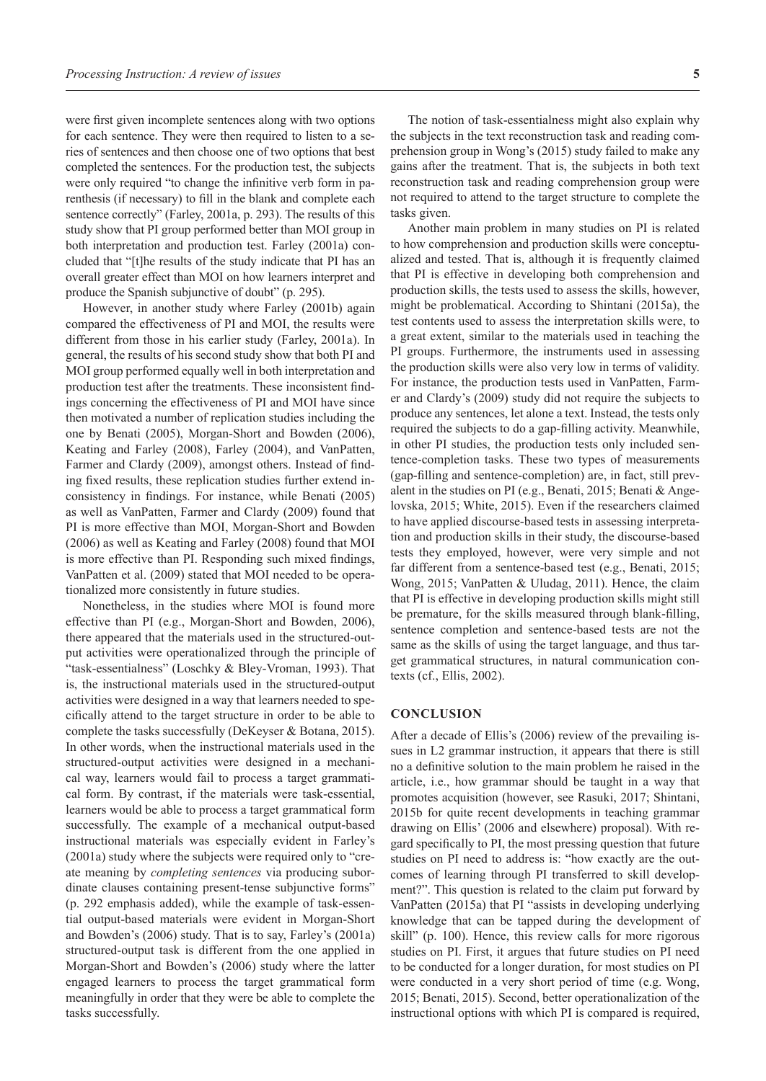were first given incomplete sentences along with two options for each sentence. They were then required to listen to a series of sentences and then choose one of two options that best completed the sentences. For the production test, the subjects were only required "to change the infinitive verb form in parenthesis (if necessary) to fill in the blank and complete each sentence correctly" (Farley, 2001a, p. 293). The results of this study show that PI group performed better than MOI group in both interpretation and production test. Farley (2001a) concluded that "[t]he results of the study indicate that PI has an overall greater effect than MOI on how learners interpret and produce the Spanish subjunctive of doubt" (p. 295).

However, in another study where Farley (2001b) again compared the effectiveness of PI and MOI, the results were different from those in his earlier study (Farley, 2001a). In general, the results of his second study show that both PI and MOI group performed equally well in both interpretation and production test after the treatments. These inconsistent findings concerning the effectiveness of PI and MOI have since then motivated a number of replication studies including the one by Benati (2005), Morgan-Short and Bowden (2006), Keating and Farley (2008), Farley (2004), and VanPatten, Farmer and Clardy (2009), amongst others. Instead of finding fixed results, these replication studies further extend inconsistency in findings. For instance, while Benati (2005) as well as VanPatten, Farmer and Clardy (2009) found that PI is more effective than MOI, Morgan-Short and Bowden (2006) as well as Keating and Farley (2008) found that MOI is more effective than PI. Responding such mixed findings, VanPatten et al. (2009) stated that MOI needed to be operationalized more consistently in future studies.

Nonetheless, in the studies where MOI is found more effective than PI (e.g., Morgan-Short and Bowden, 2006), there appeared that the materials used in the structured-output activities were operationalized through the principle of "task-essentialness" (Loschky & Bley-Vroman, 1993). That is, the instructional materials used in the structured-output activities were designed in a way that learners needed to specifically attend to the target structure in order to be able to complete the tasks successfully (DeKeyser & Botana, 2015). In other words, when the instructional materials used in the structured-output activities were designed in a mechanical way, learners would fail to process a target grammatical form. By contrast, if the materials were task-essential, learners would be able to process a target grammatical form successfully. The example of a mechanical output-based instructional materials was especially evident in Farley's (2001a) study where the subjects were required only to "create meaning by *completing sentences* via producing subordinate clauses containing present-tense subjunctive forms" (p. 292 emphasis added), while the example of task-essential output-based materials were evident in Morgan-Short and Bowden's (2006) study. That is to say, Farley's (2001a) structured-output task is different from the one applied in Morgan-Short and Bowden's (2006) study where the latter engaged learners to process the target grammatical form meaningfully in order that they were be able to complete the tasks successfully.

The notion of task-essentialness might also explain why the subjects in the text reconstruction task and reading comprehension group in Wong's (2015) study failed to make any gains after the treatment. That is, the subjects in both text reconstruction task and reading comprehension group were not required to attend to the target structure to complete the tasks given.

Another main problem in many studies on PI is related to how comprehension and production skills were conceptualized and tested. That is, although it is frequently claimed that PI is effective in developing both comprehension and production skills, the tests used to assess the skills, however, might be problematical. According to Shintani (2015a), the test contents used to assess the interpretation skills were, to a great extent, similar to the materials used in teaching the PI groups. Furthermore, the instruments used in assessing the production skills were also very low in terms of validity. For instance, the production tests used in VanPatten, Farmer and Clardy's (2009) study did not require the subjects to produce any sentences, let alone a text. Instead, the tests only required the subjects to do a gap-filling activity. Meanwhile, in other PI studies, the production tests only included sentence-completion tasks. These two types of measurements (gap-filling and sentence-completion) are, in fact, still prevalent in the studies on PI (e.g., Benati, 2015; Benati & Angelovska, 2015; White, 2015). Even if the researchers claimed to have applied discourse-based tests in assessing interpretation and production skills in their study, the discourse-based tests they employed, however, were very simple and not far different from a sentence-based test (e.g., Benati, 2015; Wong, 2015; VanPatten & Uludag, 2011). Hence, the claim that PI is effective in developing production skills might still be premature, for the skills measured through blank-filling, sentence completion and sentence-based tests are not the same as the skills of using the target language, and thus target grammatical structures, in natural communication contexts (cf., Ellis, 2002).

#### **CONCLUSION**

After a decade of Ellis's (2006) review of the prevailing issues in L2 grammar instruction, it appears that there is still no a definitive solution to the main problem he raised in the article, i.e., how grammar should be taught in a way that promotes acquisition (however, see Rasuki, 2017; Shintani, 2015b for quite recent developments in teaching grammar drawing on Ellis' (2006 and elsewhere) proposal). With regard specifically to PI, the most pressing question that future studies on PI need to address is: "how exactly are the outcomes of learning through PI transferred to skill development?". This question is related to the claim put forward by VanPatten (2015a) that PI "assists in developing underlying knowledge that can be tapped during the development of skill" (p. 100). Hence, this review calls for more rigorous studies on PI. First, it argues that future studies on PI need to be conducted for a longer duration, for most studies on PI were conducted in a very short period of time (e.g. Wong, 2015; Benati, 2015). Second, better operationalization of the instructional options with which PI is compared is required,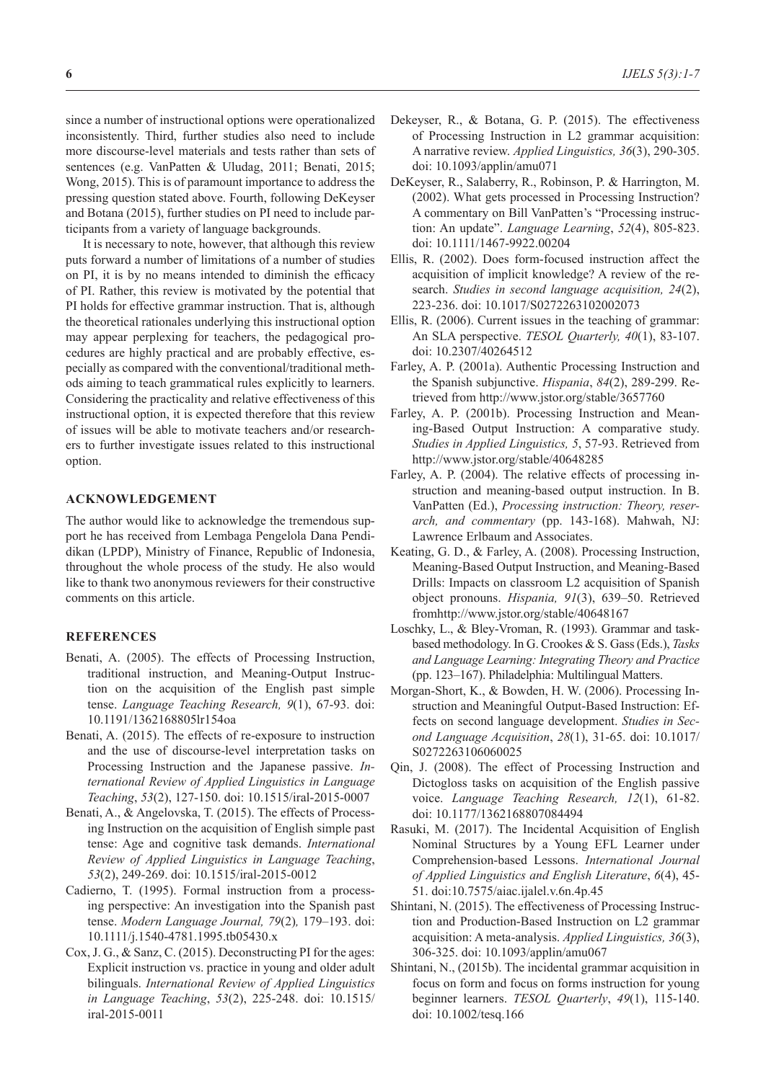since a number of instructional options were operationalized inconsistently. Third, further studies also need to include more discourse-level materials and tests rather than sets of sentences (e.g. VanPatten & Uludag, 2011; Benati, 2015; Wong, 2015). This is of paramount importance to address the pressing question stated above. Fourth, following DeKeyser and Botana (2015), further studies on PI need to include participants from a variety of language backgrounds.

It is necessary to note, however, that although this review puts forward a number of limitations of a number of studies on PI, it is by no means intended to diminish the efficacy of PI. Rather, this review is motivated by the potential that PI holds for effective grammar instruction. That is, although the theoretical rationales underlying this instructional option may appear perplexing for teachers, the pedagogical procedures are highly practical and are probably effective, especially as compared with the conventional/traditional methods aiming to teach grammatical rules explicitly to learners. Considering the practicality and relative effectiveness of this instructional option, it is expected therefore that this review of issues will be able to motivate teachers and/or researchers to further investigate issues related to this instructional option.

## **ACKNOWLEDGEMENT**

The author would like to acknowledge the tremendous support he has received from Lembaga Pengelola Dana Pendidikan (LPDP), Ministry of Finance, Republic of Indonesia, throughout the whole process of the study. He also would like to thank two anonymous reviewers for their constructive comments on this article.

### **REFERENCES**

- Benati, A. (2005). The effects of Processing Instruction, traditional instruction, and Meaning-Output Instruction on the acquisition of the English past simple tense. *Language Teaching Research, 9*(1), 67-93. doi: 10.1191/1362168805lr154oa
- Benati, A. (2015). The effects of re-exposure to instruction and the use of discourse-level interpretation tasks on Processing Instruction and the Japanese passive. *International Review of Applied Linguistics in Language Teaching*, *53*(2), 127-150. doi: 10.1515/iral-2015-0007
- Benati, A., & Angelovska, T. (2015). The effects of Processing Instruction on the acquisition of English simple past tense: Age and cognitive task demands. *International Review of Applied Linguistics in Language Teaching*, *53*(2), 249-269. doi: 10.1515/iral-2015-0012
- Cadierno, T. (1995). Formal instruction from a processing perspective: An investigation into the Spanish past tense. *Modern Language Journal, 79*(2)*,* 179–193. doi: 10.1111/j.1540-4781.1995.tb05430.x
- Cox, J. G., & Sanz, C. (2015). Deconstructing PI for the ages: Explicit instruction vs. practice in young and older adult bilinguals. *International Review of Applied Linguistics in Language Teaching*, *53*(2), 225-248. doi: 10.1515/ iral-2015-0011
- Dekeyser, R., & Botana, G. P. (2015). The effectiveness of Processing Instruction in L2 grammar acquisition: A narrative review. *Applied Linguistics, 36*(3), 290-305. doi: 10.1093/applin/amu071
- DeKeyser, R., Salaberry, R., Robinson, P. & Harrington, M. (2002). What gets processed in Processing Instruction? A commentary on Bill VanPatten's "Processing instruction: An update". *Language Learning*, *52*(4), 805-823. doi: 10.1111/1467-9922.00204
- Ellis, R. (2002). Does form-focused instruction affect the acquisition of implicit knowledge? A review of the research. *Studies in second language acquisition, 24*(2), 223-236. doi: 10.1017/S0272263102002073
- Ellis, R. (2006). Current issues in the teaching of grammar: An SLA perspective. *TESOL Quarterly, 40*(1), 83-107. doi: 10.2307/40264512
- Farley, A. P. (2001a). Authentic Processing Instruction and the Spanish subjunctive. *Hispania*, *84*(2), 289-299. Retrieved from http://www.jstor.org/stable/3657760
- Farley, A. P. (2001b). Processing Instruction and Meaning-Based Output Instruction: A comparative study. *Studies in Applied Linguistics, 5*, 57-93. Retrieved from http://www.jstor.org/stable/40648285
- Farley, A. P. (2004). The relative effects of processing instruction and meaning-based output instruction. In B. VanPatten (Ed.), *Processing instruction: Theory, reserarch, and commentary* (pp. 143-168). Mahwah, NJ: Lawrence Erlbaum and Associates.
- Keating, G. D., & Farley, A. (2008). Processing Instruction, Meaning-Based Output Instruction, and Meaning-Based Drills: Impacts on classroom L2 acquisition of Spanish object pronouns. *Hispania, 91*(3), 639–50. Retrieved fromhttp://www.jstor.org/stable/40648167
- Loschky, L., & Bley-Vroman, R. (1993). Grammar and taskbased methodology. In G. Crookes & S. Gass (Eds.), *Tasks and Language Learning: Integrating Theory and Practice*  (pp. 123–167). Philadelphia: Multilingual Matters.
- Morgan-Short, K., & Bowden, H. W. (2006). Processing Instruction and Meaningful Output-Based Instruction: Effects on second language development. *Studies in Second Language Acquisition*, *28*(1), 31-65. doi: 10.1017/ S0272263106060025
- Qin, J. (2008). The effect of Processing Instruction and Dictogloss tasks on acquisition of the English passive voice. *Language Teaching Research, 12*(1), 61-82. doi: 10.1177/1362168807084494
- Rasuki, M. (2017). The Incidental Acquisition of English Nominal Structures by a Young EFL Learner under Comprehension-based Lessons. *International Journal of Applied Linguistics and English Literature*, *6*(4), 45- 51. doi:10.7575/aiac.ijalel.v.6n.4p.45
- Shintani, N. (2015). The effectiveness of Processing Instruction and Production-Based Instruction on L2 grammar acquisition: A meta-analysis. *Applied Linguistics, 36*(3), 306-325. doi: 10.1093/applin/amu067
- Shintani, N., (2015b). The incidental grammar acquisition in focus on form and focus on forms instruction for young beginner learners. *TESOL Quarterly*, *49*(1), 115-140. doi: 10.1002/tesq.166